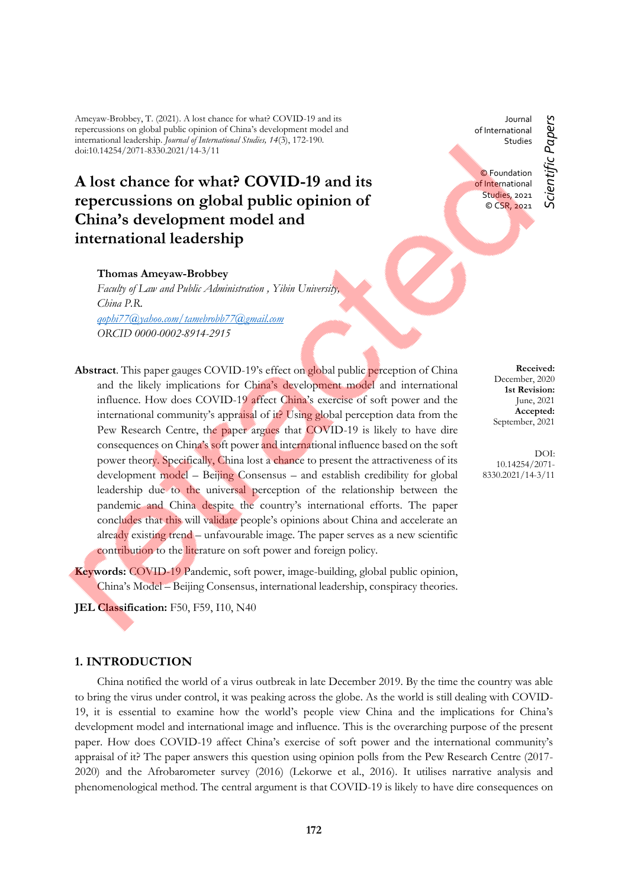Ameyaw-Brobbey, T. (2021). A lost chance for what? COVID-19 and its repercussions on global public opinion of China's development model and international leadership. *Journal of International Studies, 14*(3), 172-190. doi:10.14254/2071-8330.2021/14-3/11

# **A lost chance for what? COVID-19 and its repercussions on global public opinion of China's development model and international leadership**

# **Thomas Ameyaw-Brobbey**

*Faculty of Law and Public Administration , Yibin University, China P.R. [qophi77@yahoo.com/tamebrobb77@gmail.com](mailto:qophi77@yahoo.com/tamebrobb77@gmail.com) ORCID 0000-0002-8914-2915*

- **Abstract**. This paper gauges COVID-19's effect on global public perception of China and the likely implications for China's development model and international influence. How does COVID-19 affect China's exercise of soft power and the international community's appraisal of it? Using global perception data from the Pew Research Centre, the paper argues that COVID-19 is likely to have dire consequences on China's soft power and international influence based on the soft power theory. Specifically, China lost a chance to present the attractiveness of its development model – Beijing Consensus – and establish credibility for global leadership due to the universal perception of the relationship between the pandemic and China despite the country's international efforts. The paper concludes that this will validate people's opinions about China and accelerate an already existing trend – unfavourable image. The paper serves as a new scientific contribution to the literature on soft power and foreign policy.
- **Keywords:** COVID-19 Pandemic, soft power, image-building, global public opinion, China's Model – Beijing Consensus, international leadership, conspiracy theories.

**JEL Classification:** F50, F59, I10, N40

# **1. INTRODUCTION**

China notified the world of a virus outbreak in late December 2019. By the time the country was able to bring the virus under control, it was peaking across the globe. As the world is still dealing with COVID-19, it is essential to examine how the world's people view China and the implications for China's development model and international image and influence. This is the overarching purpose of the present paper. How does COVID-19 affect China's exercise of soft power and the international community's appraisal of it? The paper answers this question using opinion polls from the Pew Research Centre (2017- 2020) and the Afrobarometer survey (2016) (Lekorwe et al., 2016). It utilises narrative analysis and phenomenological method. The central argument is that COVID-19 is likely to have dire consequences on

**Received:** December, 2020 **1st Revision:**

June, 2021 **Accepted:** September, 2021

DOI: 10.14254/2071- 8330.2021/14-3/11

Journal of International Studies

© Foundation of International Studies, 2021 © CSR, 2021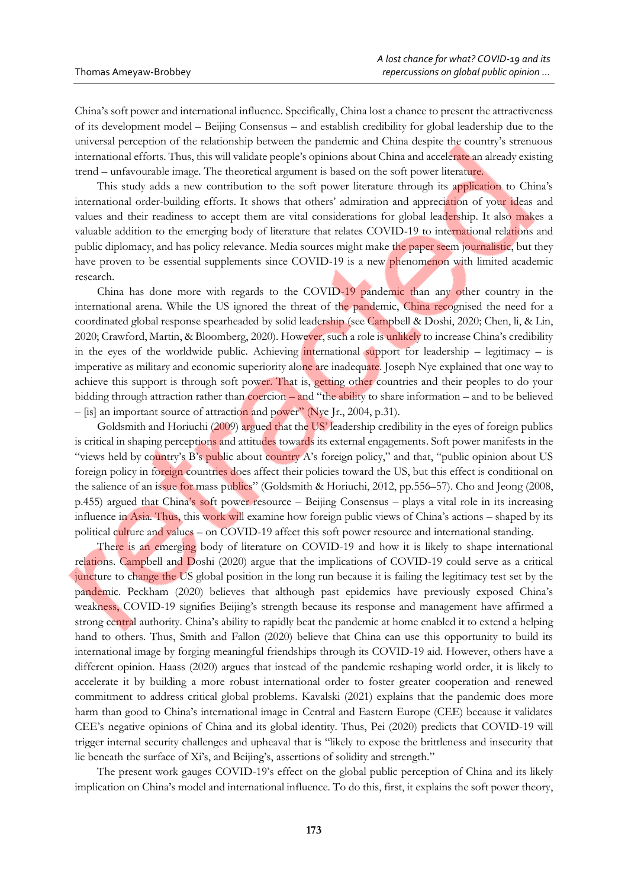China's soft power and international influence. Specifically, China lost a chance to present the attractiveness of its development model – Beijing Consensus – and establish credibility for global leadership due to the universal perception of the relationship between the pandemic and China despite the country's strenuous international efforts. Thus, this will validate people's opinions about China and accelerate an already existing trend – unfavourable image. The theoretical argument is based on the soft power literature.

This study adds a new contribution to the soft power literature through its application to China's international order-building efforts. It shows that others' admiration and appreciation of your ideas and values and their readiness to accept them are vital considerations for global leadership. It also makes a valuable addition to the emerging body of literature that relates COVID-19 to international relations and public diplomacy, and has policy relevance. Media sources might make the paper seem journalistic, but they have proven to be essential supplements since COVID-19 is a new phenomenon with limited academic research.

China has done more with regards to the COVID-19 pandemic than any other country in the international arena. While the US ignored the threat of the pandemic, China recognised the need for a coordinated global response spearheaded by solid leadership (see Campbell & Doshi, 2020; Chen, li, & Lin, 2020; Crawford, Martin, & Bloomberg, 2020). However, such a role is unlikely to increase China's credibility in the eyes of the worldwide public. Achieving international support for leadership – legitimacy – is imperative as military and economic superiority alone are inadequate. Joseph Nye explained that one way to achieve this support is through soft power. That is, getting other countries and their peoples to do your bidding through attraction rather than coercion – and "the ability to share information – and to be believed – [is] an important source of attraction and power" (Nye Jr., 2004, p.31).

Goldsmith and Horiuchi (2009) argued that the US' leadership credibility in the eyes of foreign publics is critical in shaping perceptions and attitudes towards its external engagements. Soft power manifests in the "views held by country's B's public about country A's foreign policy," and that, "public opinion about US foreign policy in foreign countries does affect their policies toward the US, but this effect is conditional on the salience of an issue for mass publics" (Goldsmith & Horiuchi, 2012, pp.556–57). Cho and Jeong (2008, p.455) argued that China's soft power resource – Beijing Consensus – plays a vital role in its increasing influence in Asia. Thus, this work will examine how foreign public views of China's actions – shaped by its political culture and values – on COVID-19 affect this soft power resource and international standing.

There is an emerging body of literature on COVID-19 and how it is likely to shape international relations. Campbell and Doshi (2020) argue that the implications of COVID-19 could serve as a critical juncture to change the US global position in the long run because it is failing the legitimacy test set by the pandemic. Peckham (2020) believes that although past epidemics have previously exposed China's weakness, COVID-19 signifies Beijing's strength because its response and management have affirmed a strong central authority. China's ability to rapidly beat the pandemic at home enabled it to extend a helping hand to others. Thus, Smith and Fallon (2020) believe that China can use this opportunity to build its international image by forging meaningful friendships through its COVID-19 aid. However, others have a different opinion. Haass (2020) argues that instead of the pandemic reshaping world order, it is likely to accelerate it by building a more robust international order to foster greater cooperation and renewed commitment to address critical global problems. Kavalski (2021) explains that the pandemic does more harm than good to China's international image in Central and Eastern Europe (CEE) because it validates CEE's negative opinions of China and its global identity. Thus, Pei (2020) predicts that COVID-19 will trigger internal security challenges and upheaval that is "likely to expose the brittleness and insecurity that lie beneath the surface of Xi's, and Beijing's, assertions of solidity and strength."

The present work gauges COVID-19's effect on the global public perception of China and its likely implication on China's model and international influence. To do this, first, it explains the soft power theory,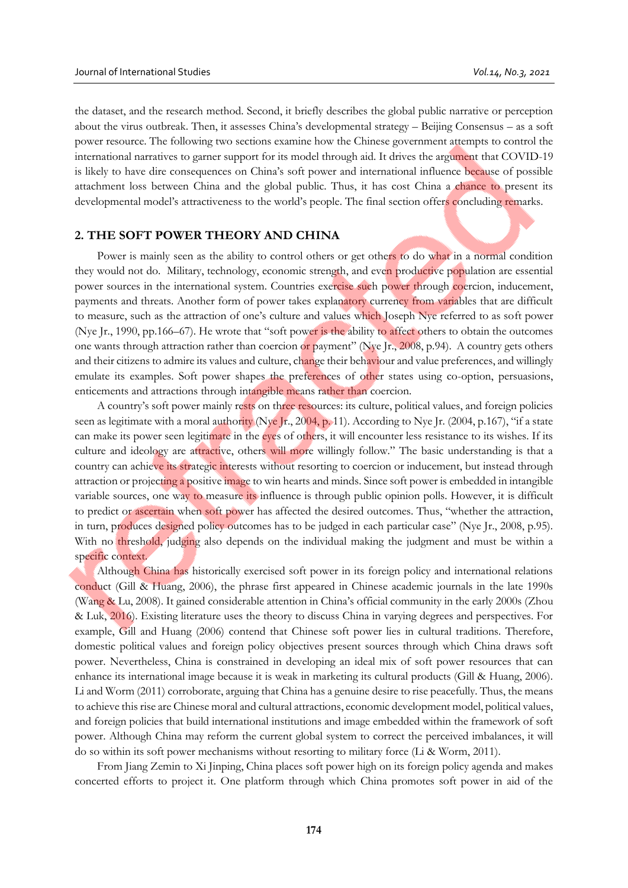the dataset, and the research method. Second, it briefly describes the global public narrative or perception about the virus outbreak. Then, it assesses China's developmental strategy – Beijing Consensus – as a soft power resource. The following two sections examine how the Chinese government attempts to control the international narratives to garner support for its model through aid. It drives the argument that COVID-19 is likely to have dire consequences on China's soft power and international influence because of possible attachment loss between China and the global public. Thus, it has cost China a chance to present its developmental model's attractiveness to the world's people. The final section offers concluding remarks.

# **2. THE SOFT POWER THEORY AND CHINA**

Power is mainly seen as the ability to control others or get others to do what in a normal condition they would not do. Military, technology, economic strength, and even productive population are essential power sources in the international system. Countries exercise such power through coercion, inducement, payments and threats. Another form of power takes explanatory currency from variables that are difficult to measure, such as the attraction of one's culture and values which Joseph Nye referred to as soft power (Nye Jr., 1990, pp.166–67). He wrote that "soft power is the ability to affect others to obtain the outcomes one wants through attraction rather than coercion or payment" (Nye Jr., 2008, p.94). A country gets others and their citizens to admire its values and culture, change their behaviour and value preferences, and willingly emulate its examples. Soft power shapes the preferences of other states using co-option, persuasions, enticements and attractions through intangible means rather than coercion.

A country's soft power mainly rests on three resources: its culture, political values, and foreign policies seen as legitimate with a moral authority (Nye Jr., 2004, p. 11). According to Nye Jr. (2004, p.167), "if a state can make its power seen legitimate in the eyes of others, it will encounter less resistance to its wishes. If its culture and ideology are attractive, others will more willingly follow." The basic understanding is that a country can achieve its strategic interests without resorting to coercion or inducement, but instead through attraction or projecting a positive image to win hearts and minds. Since soft power is embedded in intangible variable sources, one way to measure its influence is through public opinion polls. However, it is difficult to predict or ascertain when soft power has affected the desired outcomes. Thus, "whether the attraction, in turn, produces designed policy outcomes has to be judged in each particular case" (Nye Jr., 2008, p.95). With no threshold, judging also depends on the individual making the judgment and must be within a specific context.

Although China has historically exercised soft power in its foreign policy and international relations conduct (Gill & Huang, 2006), the phrase first appeared in Chinese academic journals in the late 1990s (Wang & Lu, 2008). It gained considerable attention in China's official community in the early 2000s (Zhou & Luk, 2016). Existing literature uses the theory to discuss China in varying degrees and perspectives. For example, Gill and Huang (2006) contend that Chinese soft power lies in cultural traditions. Therefore, domestic political values and foreign policy objectives present sources through which China draws soft power. Nevertheless, China is constrained in developing an ideal mix of soft power resources that can enhance its international image because it is weak in marketing its cultural products (Gill & Huang, 2006). Li and Worm (2011) corroborate, arguing that China has a genuine desire to rise peacefully. Thus, the means to achieve this rise are Chinese moral and cultural attractions, economic development model, political values, and foreign policies that build international institutions and image embedded within the framework of soft power. Although China may reform the current global system to correct the perceived imbalances, it will do so within its soft power mechanisms without resorting to military force (Li & Worm, 2011).

From Jiang Zemin to Xi Jinping, China places soft power high on its foreign policy agenda and makes concerted efforts to project it. One platform through which China promotes soft power in aid of the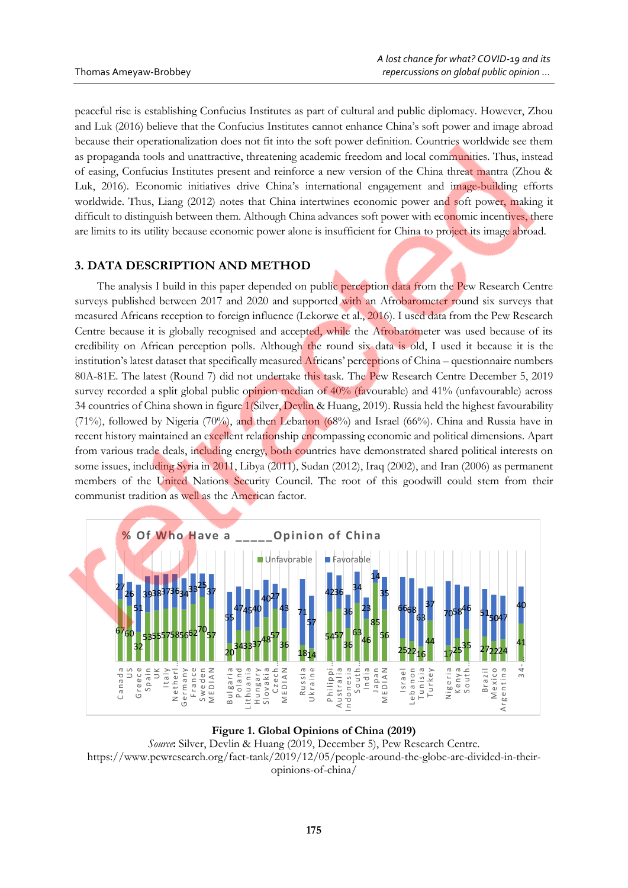peaceful rise is establishing Confucius Institutes as part of cultural and public diplomacy. However, Zhou and Luk (2016) believe that the Confucius Institutes cannot enhance China's soft power and image abroad because their operationalization does not fit into the soft power definition. Countries worldwide see them as propaganda tools and unattractive, threatening academic freedom and local communities. Thus, instead of easing, Confucius Institutes present and reinforce a new version of the China threat mantra (Zhou & Luk, 2016). Economic initiatives drive China's international engagement and image-building efforts worldwide. Thus, Liang (2012) notes that China intertwines economic power and soft power, making it difficult to distinguish between them. Although China advances soft power with economic incentives, there are limits to its utility because economic power alone is insufficient for China to project its image abroad.

# **3. DATA DESCRIPTION AND METHOD**

The analysis I build in this paper depended on public perception data from the Pew Research Centre surveys published between 2017 and 2020 and supported with an Afrobarometer round six surveys that measured Africans reception to foreign influence (Lekorwe et al., 2016). I used data from the Pew Research Centre because it is globally recognised and accepted, while the Afrobarometer was used because of its credibility on African perception polls. Although the round six data is old, I used it because it is the institution's latest dataset that specifically measured Africans' perceptions of China – questionnaire numbers 80A-81E. The latest (Round 7) did not undertake this task. The Pew Research Centre December 5, 2019 survey recorded a split global public opinion median of 40% (favourable) and 41% (unfavourable) across 34 countries of China shown in figure 1[\(Silver,](https://www.pewresearch.org/staff/laura-silver) Devlin & Huang, 2019). Russia held the highest favourability (71%), followed by Nigeria (70%), and then Lebanon (68%) and Israel (66%). China and Russia have in recent history maintained an excellent relationship encompassing economic and political dimensions. Apart from various trade deals, including energy, both countries have demonstrated shared political interests on some issues, including Syria in 2011, Libya (2011), Sudan (2012), Iraq (2002), and Iran (2006) as permanent members of the United Nations Security Council. The root of this goodwill could stem from their communist tradition as well as the American factor.



# **Figure 1. Global Opinions of China (2019)**

*Source***:** [Silver,](https://www.pewresearch.org/staff/laura-silver) [Devlin](https://www.pewresearch.org/staff/kat-devlin) & Huang (2019, December 5), Pew Research Centre. https://www.pewresearch.org/fact-tank/2019/12/05/people-around-the-globe-are-divided-in-theiropinions-of-china/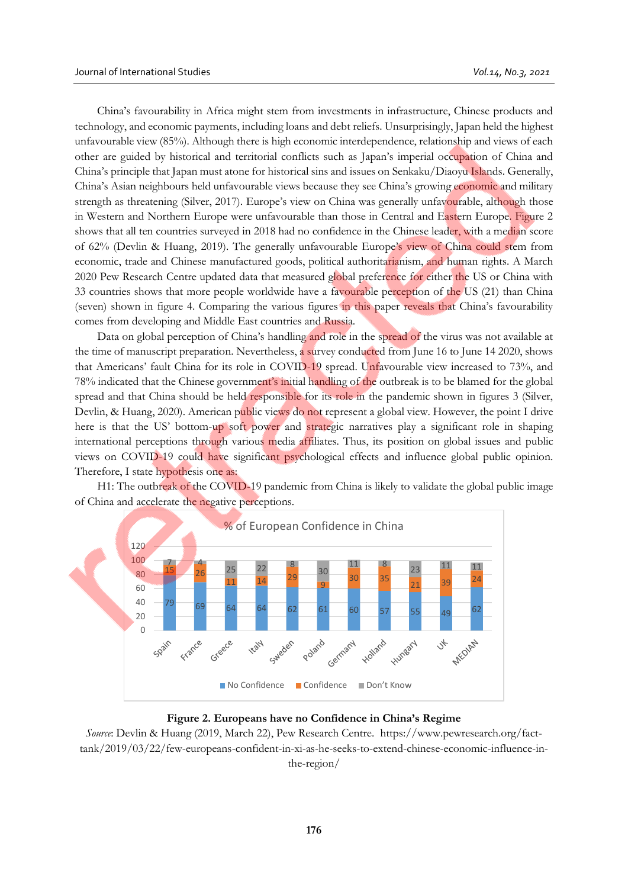China's favourability in Africa might stem from investments in infrastructure, Chinese products and technology, and economic payments, including loans and debt reliefs. Unsurprisingly, Japan held the highest unfavourable view (85%). Although there is high economic interdependence, relationship and views of each other are guided by historical and territorial conflicts such as Japan's imperial occupation of China and China's principle that Japan must atone for historical sins and issues on Senkaku/Diaoyu Islands. Generally, China's Asian neighbours held unfavourable views because they see China's growing economic and military strength as threatening (Silver, 2017). Europe's view on China was generally unfavourable, although those in Western and Northern Europe were unfavourable than those in Central and Eastern Europe. Figure 2 shows that all ten countries surveyed in 2018 had no confidence in the Chinese leader, with a median score of 62% [\(Devlin](https://www.pewresearch.org/staff/kat-devlin) & [Huang,](https://www.pewresearch.org/staff/christine-huang) 2019). The generally unfavourable Europe's view of China could stem from economic, trade and Chinese manufactured goods, political authoritarianism, and human rights. A March 2020 Pew Research Centre updated data that measured global preference for either the US or China with 33 countries shows that more people worldwide have a favourable perception of the US (21) than China (seven) shown in figure 4. Comparing the various figures in this paper reveals that China's favourability comes from developing and Middle East countries and Russia.

Data on global perception of China's handling and role in the spread of the virus was not available at the time of manuscript preparation. Nevertheless, a survey conducted from June 16 to June 14 2020, shows that Americans' fault China for its role in COVID-19 spread. Unfavourable view increased to 73%, and 78% indicated that the Chinese government's initial handling of the outbreak is to be blamed for the global spread and that China should be held responsible for its role in the pandemic shown in figures 3 (Silver, Devlin, & Huang, 2020). American public views do not represent a global view. However, the point I drive here is that the US' bottom-up soft power and strategic narratives play a significant role in shaping international perceptions through various media affiliates. Thus, its position on global issues and public views on COVID-19 could have significant psychological effects and influence global public opinion. Therefore, I state hypothesis one as:

H1: The outbreak of the COVID-19 pandemic from China is likely to validate the global public image of China and accelerate the negative perceptions.



#### **Figure 2. Europeans have no Confidence in China's Regime**

*Source*: [Devlin](https://www.pewresearch.org/staff/kat-devlin) & [Huang](https://www.pewresearch.org/staff/christine-huang) (2019, March 22), Pew Research Centre. https://www.pewresearch.org/facttank/2019/03/22/few-europeans-confident-in-xi-as-he-seeks-to-extend-chinese-economic-influence-inthe-region/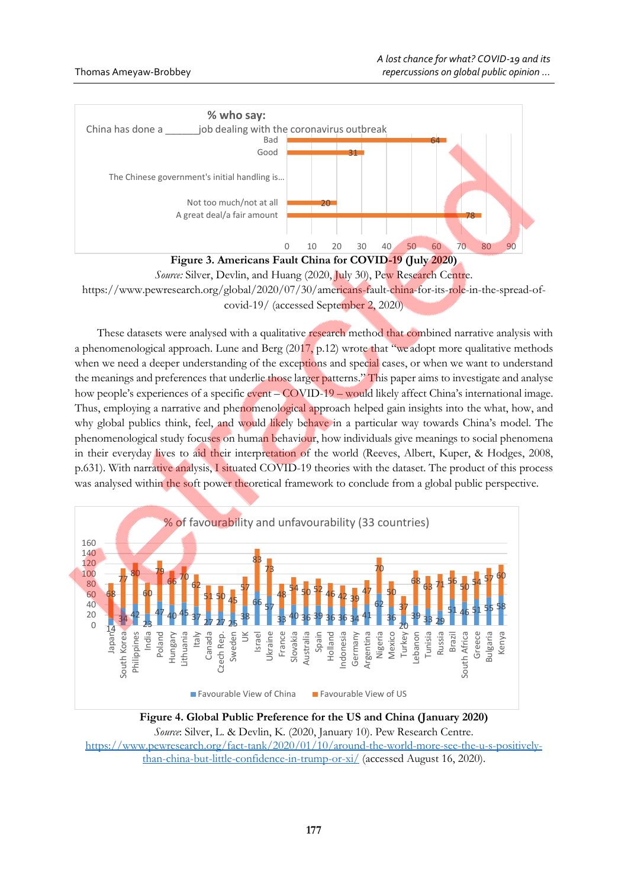



These datasets were analysed with a qualitative research method that combined narrative analysis with a phenomenological approach. Lune and Berg (2017, p.12) wrote that "we adopt more qualitative methods when we need a deeper understanding of the exceptions and special cases, or when we want to understand the meanings and preferences that underlie those larger patterns." This paper aims to investigate and analyse how people's experiences of a specific event – COVID-19 – would likely affect China's international image. Thus, employing a narrative and phenomenological approach helped gain insights into the what, how, and why global publics think, feel, and would likely behave in a particular way towards China's model. The phenomenological study focuses on human behaviour, how individuals give meanings to social phenomena in their everyday lives to aid their interpretation of the world (Reeves, Albert, Kuper, & Hodges, 2008, p.631). With narrative analysis, I situated COVID-19 theories with the dataset. The product of this process was analysed within the soft power theoretical framework to conclude from a global public perspective.



**Figure 4. Global Public Preference for the US and China (January 2020)** *Source*: [Silver,](https://www.pewresearch.org/staff/laura-silver) L. & Devlin, K. (2020, January 10). Pew Research Centre. [https://www.pewresearch.org/fact-tank/2020/01/10/around-the-world-more-see-the-u-s-positively](https://www.pewresearch.org/fact-tank/2020/01/10/around-the-world-more-see-the-u-s-positively-than-china-but-little-confidence-in-trump-or-xi/)[than-china-but-little-confidence-in-trump-or-xi/](https://www.pewresearch.org/fact-tank/2020/01/10/around-the-world-more-see-the-u-s-positively-than-china-but-little-confidence-in-trump-or-xi/) (accessed August 16, 2020).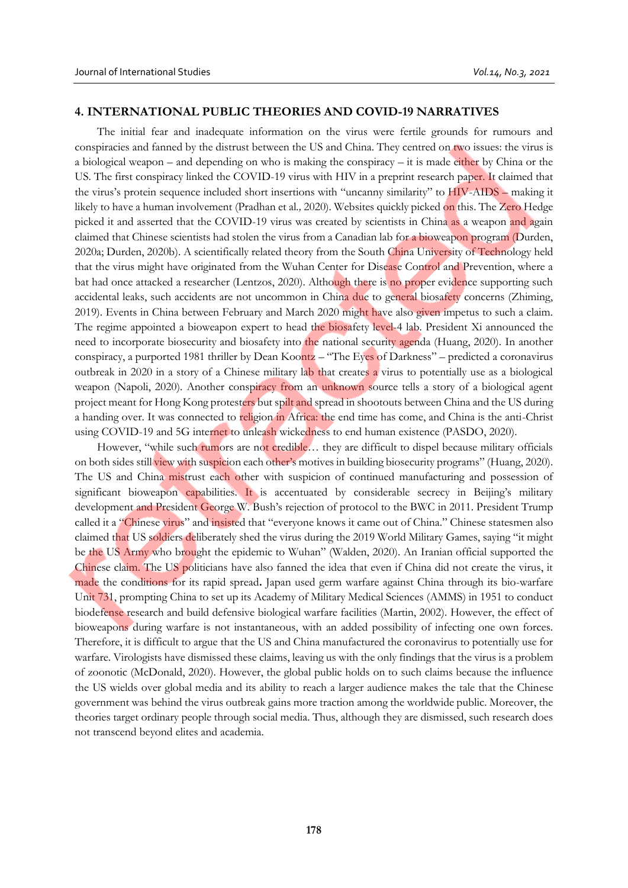# **4. INTERNATIONAL PUBLIC THEORIES AND COVID-19 NARRATIVES**

The initial fear and inadequate information on the virus were fertile grounds for rumours and conspiracies and fanned by the distrust between the US and China. They centred on two issues: the virus is a biological weapon – and depending on who is making the conspiracy – it is made either by China or the US. The first conspiracy linked the COVID-19 virus with HIV in a preprint research paper. It claimed that the virus's protein sequence included short insertions with "uncanny similarity" to HIV-AIDS – making it likely to have a human involvement (Pradhan et al*.,* 2020). Websites quickly picked on this. The Zero Hedge picked it and asserted that the COVID-19 virus was created by scientists in China as a weapon and again claimed that Chinese scientists had stolen the virus from a Canadian lab for a bioweapon program (Durden, 2020a; Durden, 2020b). A scientifically related theory from the South China University of Technology held that the virus might have originated from the Wuhan Center for Disease Control and Prevention, where a bat had once attacked a researcher (Lentzos, 2020). Although there is no proper evidence supporting such accidental leaks, such accidents are not uncommon in China due to general biosafety concerns (Zhiming, 2019). Events in China between February and March 2020 might have also given impetus to such a claim. The regime appointed a bioweapon expert to head the biosafety level-4 lab. President Xi announced the need to incorporate biosecurity and biosafety into the national security agenda (Huang, 2020). In another conspiracy, a purported 1981 thriller by Dean Koontz – "The Eyes of Darkness" – predicted a coronavirus outbreak in 2020 in a story of a Chinese military lab that creates a virus to potentially use as a biological weapon (Napoli, 2020). Another conspiracy from an unknown source tells a story of a biological agent project meant for Hong Kong protesters but spilt and spread in shootouts between China and the US during a handing over. It was connected to religion in Africa: the end time has come, and China is the anti-Christ using COVID-19 and 5G internet to unleash wickedness to end human existence (PASDO, 2020).

However, "while such rumors are not credible... they are difficult to dispel because military officials on both sides still view with suspicion each other's motives in building biosecurity programs" (Huang, 2020). The US and China mistrust each other with suspicion of continued manufacturing and possession of significant bioweapon capabilities. It is accentuated by considerable secrecy in Beijing's military development and President George W. Bush's rejection of protocol to the BWC in 2011. President Trump called it a "Chinese virus" and insisted that "everyone knows it came out of China." Chinese statesmen also claimed that US soldiers deliberately shed the virus during the 2019 World Military Games, saying "it might be the US Army who brought the epidemic to Wuhan" (Walden, 2020). An Iranian official supported the Chinese claim. The US politicians have also fanned the idea that even if China did not create the virus, it made the conditions for its rapid spread**.** Japan used germ warfare against China through its bio-warfare Unit 731, prompting China to set up its Academy of Military Medical Sciences (AMMS) in 1951 to conduct biodefense research and build defensive biological warfare facilities (Martin, 2002). However, the effect of bioweapons during warfare is not instantaneous, with an added possibility of infecting one own forces. Therefore, it is difficult to argue that the US and China manufactured the coronavirus to potentially use for warfare. Virologists have dismissed these claims, leaving us with the only findings that the virus is a problem of zoonotic (McDonald, 2020). However, the global public holds on to such claims because the influence the US wields over global media and its ability to reach a larger audience makes the tale that the Chinese government was behind the virus outbreak gains more traction among the worldwide public. Moreover, the theories target ordinary people through social media. Thus, although they are dismissed, such research does not transcend beyond elites and academia.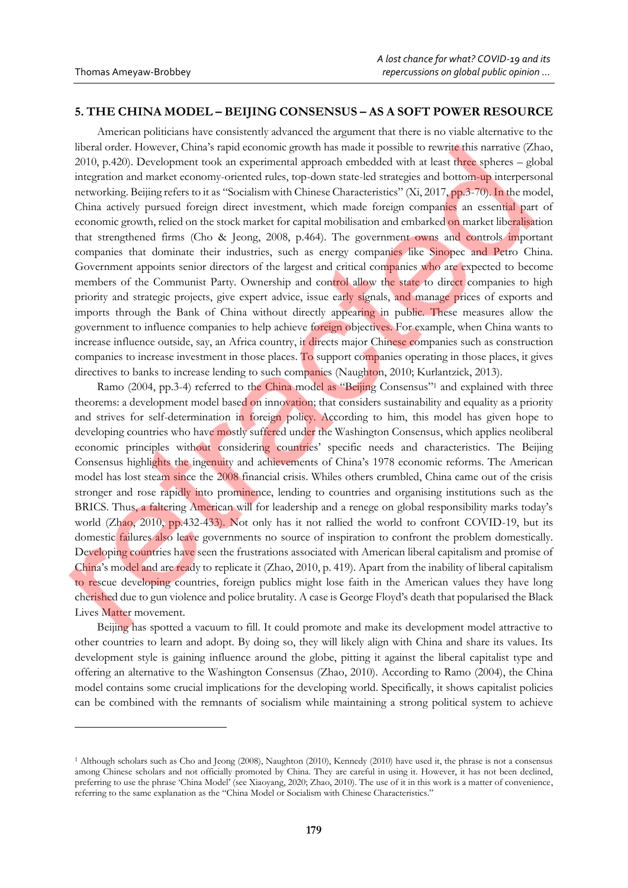# **5. THE CHINA MODEL – BEIJING CONSENSUS – AS A SOFT POWER RESOURCE**

American politicians have consistently advanced the argument that there is no viable alternative to the liberal order. However, China's rapid economic growth has made it possible to rewrite this narrative (Zhao, 2010, p.420). Development took an experimental approach embedded with at least three spheres – global integration and market economy-oriented rules, top-down state-led strategies and bottom-up interpersonal networking. Beijing refers to it as "Socialism with Chinese Characteristics" (Xi, 2017, pp.3-70). In the model, China actively pursued foreign direct investment, which made foreign companies an essential part of economic growth, relied on the stock market for capital mobilisation and embarked on market liberalisation that strengthened firms (Cho & Jeong, 2008, p.464). The government owns and controls important companies that dominate their industries, such as energy companies like Sinopec and Petro China. Government appoints senior directors of the largest and critical companies who are expected to become members of the Communist Party. Ownership and control allow the state to direct companies to high priority and strategic projects, give expert advice, issue early signals, and manage prices of exports and imports through the Bank of China without directly appearing in public. These measures allow the government to influence companies to help achieve foreign objectives. For example, when China wants to increase influence outside, say, an Africa country, it directs major Chinese companies such as construction companies to increase investment in those places. To support companies operating in those places, it gives directives to banks to increase lending to such companies (Naughton, 2010; Kurlantzick, 2013).

Ramo (2004, pp.3-4) referred to the China model as "Beijing Consensus"<sup>1</sup> and explained with three theorems: a development model based on innovation; that considers sustainability and equality as a priority and strives for self-determination in foreign policy. According to him, this model has given hope to developing countries who have mostly suffered under the Washington Consensus, which applies neoliberal economic principles without considering countries' specific needs and characteristics. The Beijing Consensus highlights the ingenuity and achievements of China's 1978 economic reforms. The American model has lost steam since the 2008 financial crisis. Whiles others crumbled, China came out of the crisis stronger and rose rapidly into prominence, lending to countries and organising institutions such as the BRICS. Thus, a faltering American will for leadership and a renege on global responsibility marks today's world (Zhao, 2010, pp.432-433). Not only has it not rallied the world to confront COVID-19, but its domestic failures also leave governments no source of inspiration to confront the problem domestically. Developing countries have seen the frustrations associated with American liberal capitalism and promise of China's model and are ready to replicate it (Zhao, 2010, p. 419). Apart from the inability of liberal capitalism to rescue developing countries, foreign publics might lose faith in the American values they have long cherished due to gun violence and police brutality. A case is George Floyd's death that popularised the Black Lives Matter movement.

Beijing has spotted a vacuum to fill. It could promote and make its development model attractive to other countries to learn and adopt. By doing so, they will likely align with China and share its values. Its development style is gaining influence around the globe, pitting it against the liberal capitalist type and offering an alternative to the Washington Consensus (Zhao, 2010). According to Ramo (2004), the China model contains some crucial implications for the developing world. Specifically, it shows capitalist policies can be combined with the remnants of socialism while maintaining a strong political system to achieve

<sup>1</sup> Although scholars such as Cho and Jeong (2008), Naughton (2010), Kennedy (2010) have used it, the phrase is not a consensus among Chinese scholars and not officially promoted by China. They are careful in using it. However, it has not been declined, preferring to use the phrase 'China Model' (see Xiaoyang, 2020; Zhao, 2010). The use of it in this work is a matter of convenience, referring to the same explanation as the "China Model or Socialism with Chinese Characteristics."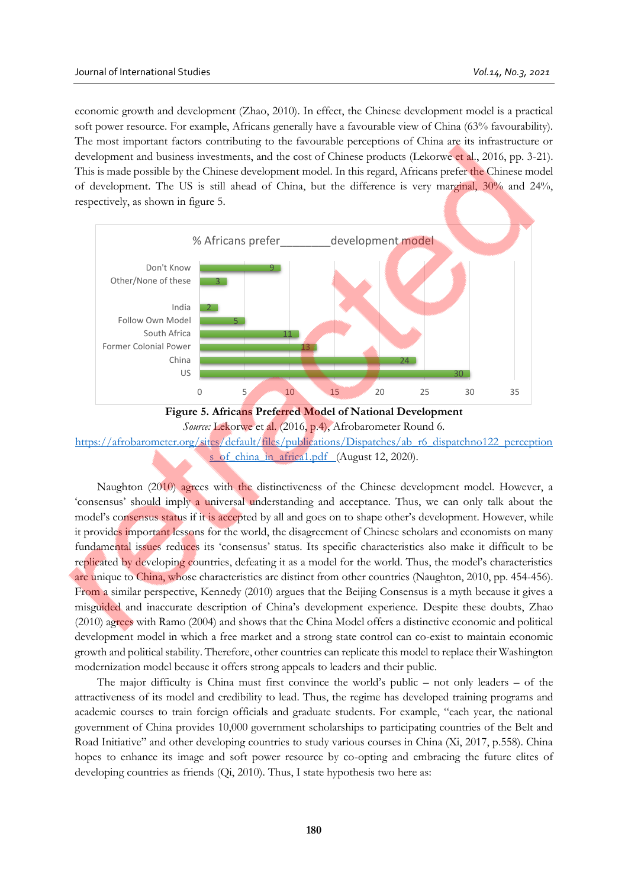economic growth and development (Zhao, 2010). In effect, the Chinese development model is a practical soft power resource. For example, Africans generally have a favourable view of China (63% favourability). The most important factors contributing to the favourable perceptions of China are its infrastructure or development and business investments, and the cost of Chinese products (Lekorwe et al., 2016, pp. 3-21). This is made possible by the Chinese development model. In this regard, Africans prefer the Chinese model of development. The US is still ahead of China, but the difference is very marginal, 30% and 24%, respectively, as shown in figure 5.





Naughton (2010) agrees with the distinctiveness of the Chinese development model. However, a 'consensus' should imply a universal understanding and acceptance. Thus, we can only talk about the model's consensus status if it is accepted by all and goes on to shape other's development. However, while it provides important lessons for the world, the disagreement of Chinese scholars and economists on many fundamental issues reduces its 'consensus' status. Its specific characteristics also make it difficult to be replicated by developing countries, defeating it as a model for the world. Thus, the model's characteristics are unique to China, whose characteristics are distinct from other countries (Naughton, 2010, pp. 454-456). From a similar perspective, Kennedy (2010) argues that the Beijing Consensus is a myth because it gives a misguided and inaccurate description of China's development experience. Despite these doubts, Zhao (2010) agrees with Ramo (2004) and shows that the China Model offers a distinctive economic and political development model in which a free market and a strong state control can co-exist to maintain economic growth and political stability. Therefore, other countries can replicate this model to replace their Washington modernization model because it offers strong appeals to leaders and their public.

The major difficulty is China must first convince the world's public – not only leaders – of the attractiveness of its model and credibility to lead. Thus, the regime has developed training programs and academic courses to train foreign officials and graduate students. For example, "each year, the national government of China provides 10,000 government scholarships to participating countries of the Belt and Road Initiative" and other developing countries to study various courses in China (Xi, 2017, p.558). China hopes to enhance its image and soft power resource by co-opting and embracing the future elites of developing countries as friends (Qi, 2010). Thus, I state hypothesis two here as: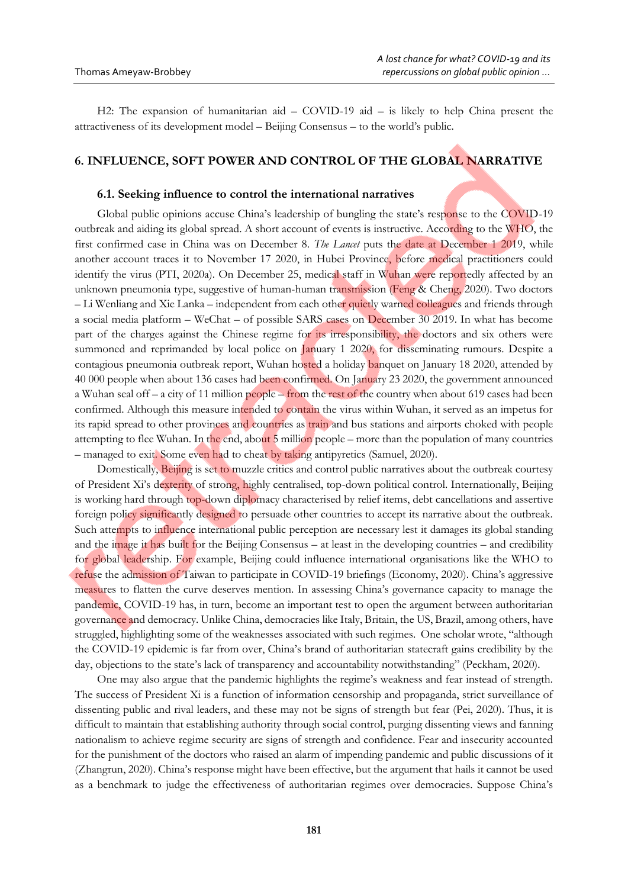H2: The expansion of humanitarian aid – COVID-19 aid – is likely to help China present the attractiveness of its development model – Beijing Consensus – to the world's public.

### **6. INFLUENCE, SOFT POWER AND CONTROL OF THE GLOBAL NARRATIVE**

#### **6.1. Seeking influence to control the international narratives**

Global public opinions accuse China's leadership of bungling the state's response to the COVID-19 outbreak and aiding its global spread. A short account of events is instructive. According to the WHO, the first confirmed case in China was on December 8. *The Lancet* puts the date at December 1 2019, while another account traces it to November 17 2020, in Hubei Province, before medical practitioners could identify the virus (PTI, 2020a). On December 25, medical staff in Wuhan were reportedly affected by an unknown pneumonia type, suggestive of human-human transmission (Feng & Cheng, 2020). Two doctors – Li Wenliang and Xie Lanka – independent from each other quietly warned colleagues and friends through a social media platform – WeChat – of possible SARS cases on December 30 2019. In what has become part of the charges against the Chinese regime for its irresponsibility, the doctors and six others were summoned and reprimanded by local police on January 1 2020, for disseminating rumours. Despite a contagious pneumonia outbreak report, Wuhan hosted a holiday banquet on January 18 2020, attended by 40 000 people when about 136 cases had been confirmed. On January 23 2020, the government announced a Wuhan seal off – a city of 11 million people – from the rest of the country when about 619 cases had been confirmed. Although this measure intended to contain the virus within Wuhan, it served as an impetus for its rapid spread to other provinces and countries as train and bus stations and airports choked with people attempting to flee Wuhan. In the end, about 5 million people – more than the population of many countries – managed to exit. Some even had to cheat by taking antipyretics (Samuel, 2020).

Domestically, Beijing is set to muzzle critics and control public narratives about the outbreak courtesy of President Xi's dexterity of strong, highly centralised, top-down political control. Internationally, Beijing is working hard through top-down diplomacy characterised by relief items, debt cancellations and assertive foreign policy significantly designed to persuade other countries to accept its narrative about the outbreak. Such attempts to influence international public perception are necessary lest it damages its global standing and the image it has built for the Beijing Consensus – at least in the developing countries – and credibility for global leadership. For example, Beijing could influence international organisations like the WHO to refuse the admission of Taiwan to participate in COVID-19 briefings (Economy, 2020). China's aggressive measures to flatten the curve deserves mention. In assessing China's governance capacity to manage the pandemic, COVID-19 has, in turn, become an important test to open the argument between authoritarian governance and democracy. Unlike China, democracies like Italy, Britain, the US, Brazil, among others, have struggled, highlighting some of the weaknesses associated with such regimes. One scholar wrote, "although the COVID-19 epidemic is far from over, China's brand of authoritarian statecraft gains credibility by the day, objections to the state's lack of transparency and accountability notwithstanding" (Peckham, 2020).

One may also argue that the pandemic highlights the regime's weakness and fear instead of strength. The success of President Xi is a function of information censorship and propaganda, strict surveillance of dissenting public and rival leaders, and these may not be signs of strength but fear (Pei, 2020). Thus, it is difficult to maintain that establishing authority through social control, purging dissenting views and fanning nationalism to achieve regime security are signs of strength and confidence. Fear and insecurity accounted for the punishment of the doctors who raised an alarm of impending pandemic and public discussions of it (Zhangrun, 2020). China's response might have been effective, but the argument that hails it cannot be used as a benchmark to judge the effectiveness of authoritarian regimes over democracies. Suppose China's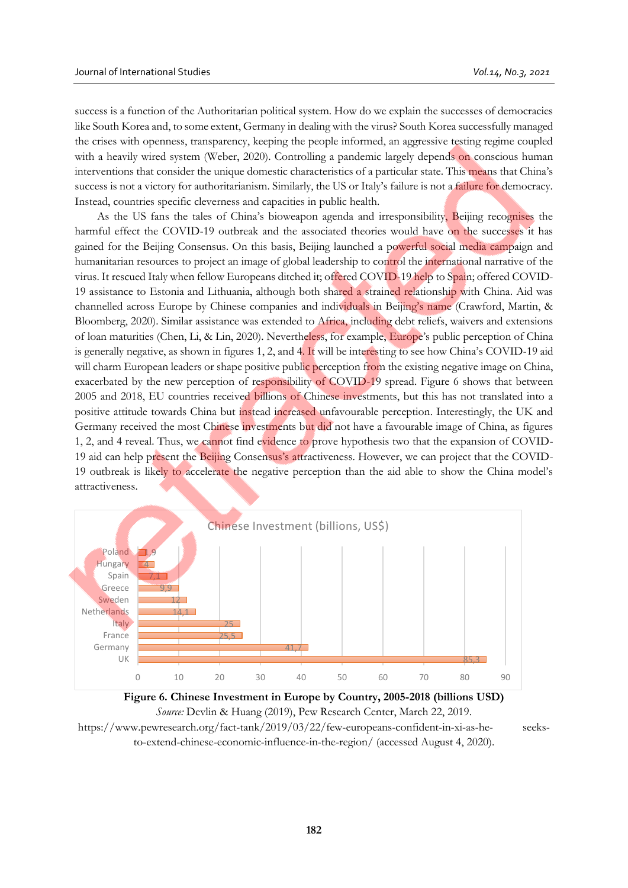success is a function of the Authoritarian political system. How do we explain the successes of democracies like South Korea and, to some extent, Germany in dealing with the virus? South Korea successfully managed the crises with openness, transparency, keeping the people informed, an aggressive testing regime coupled with a heavily wired system (Weber, 2020). Controlling a pandemic largely depends on conscious human interventions that consider the unique domestic characteristics of a particular state. This means that China's success is not a victory for authoritarianism. Similarly, the US or Italy's failure is not a failure for democracy. Instead, countries specific cleverness and capacities in public health.

As the US fans the tales of China's bioweapon agenda and irresponsibility, Beijing recognises the harmful effect the COVID-19 outbreak and the associated theories would have on the successes it has gained for the Beijing Consensus. On this basis, Beijing launched a powerful social media campaign and humanitarian resources to project an image of global leadership to control the international narrative of the virus. It rescued Italy when fellow Europeans ditched it; offered COVID-19 help to Spain; offered COVID-19 assistance to Estonia and Lithuania, although both shared a strained relationship with China. Aid was channelled across Europe by Chinese companies and individuals in Beijing's name (Crawford, Martin, & Bloomberg, 2020). Similar assistance was extended to Africa, including debt reliefs, waivers and extensions of loan maturities (Chen, Li, & Lin, 2020). Nevertheless, for example, Europe's public perception of China is generally negative, as shown in figures 1, 2, and 4. It will be interesting to see how China's COVID-19 aid will charm European leaders or shape positive public perception from the existing negative image on China, exacerbated by the new perception of responsibility of COVID-19 spread. Figure 6 shows that between 2005 and 2018, EU countries received billions of Chinese investments, but this has not translated into a positive attitude towards China but instead increased unfavourable perception. Interestingly, the UK and Germany received the most Chinese investments but did not have a favourable image of China, as figures 1, 2, and 4 reveal. Thus, we cannot find evidence to prove hypothesis two that the expansion of COVID-19 aid can help present the Beijing Consensus's attractiveness. However, we can project that the COVID-19 outbreak is likely to accelerate the negative perception than the aid able to show the China model's attractiveness.





to-extend-chinese-economic-influence-in-the-region/ (accessed August 4, 2020).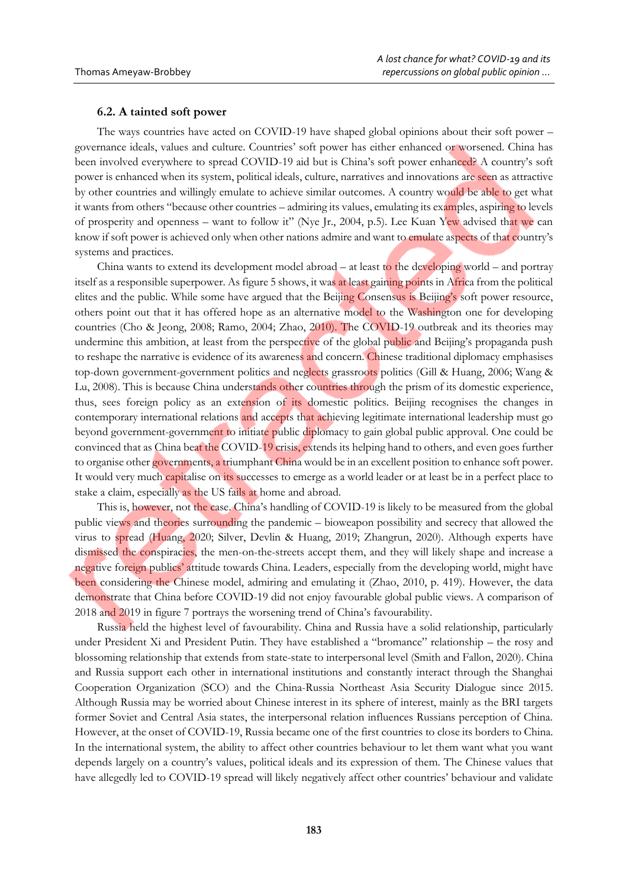### **6.2. A tainted soft power**

The ways countries have acted on COVID-19 have shaped global opinions about their soft power – governance ideals, values and culture. Countries' soft power has either enhanced or worsened. China has been involved everywhere to spread COVID-19 aid but is China's soft power enhanced? A country's soft power is enhanced when its system, political ideals, culture, narratives and innovations are seen as attractive by other countries and willingly emulate to achieve similar outcomes. A country would be able to get what it wants from others "because other countries – admiring its values, emulating its examples, aspiring to levels of prosperity and openness – want to follow it" (Nye Jr., 2004, p.5). Lee Kuan Yew advised that we can know if soft power is achieved only when other nations admire and want to emulate aspects of that country's systems and practices.

China wants to extend its development model abroad – at least to the developing world – and portray itself as a responsible superpower. As figure 5 shows, it was at least gaining points in Africa from the political elites and the public. While some have argued that the Beijing Consensus is Beijing's soft power resource, others point out that it has offered hope as an alternative model to the Washington one for developing countries (Cho & Jeong, 2008; Ramo, 2004; Zhao, 2010). The COVID-19 outbreak and its theories may undermine this ambition, at least from the perspective of the global public and Beijing's propaganda push to reshape the narrative is evidence of its awareness and concern. Chinese traditional diplomacy emphasises top-down government-government politics and neglects grassroots politics (Gill & Huang, 2006; Wang & Lu, 2008). This is because China understands other countries through the prism of its domestic experience, thus, sees foreign policy as an extension of its domestic politics. Beijing recognises the changes in contemporary international relations and accepts that achieving legitimate international leadership must go beyond government-government to initiate public diplomacy to gain global public approval. One could be convinced that as China beat the COVID-19 crisis, extends its helping hand to others, and even goes further to organise other governments, a triumphant China would be in an excellent position to enhance soft power. It would very much capitalise on its successes to emerge as a world leader or at least be in a perfect place to stake a claim, especially as the US fails at home and abroad.

This is, however, not the case. China's handling of COVID-19 is likely to be measured from the global public views and theories surrounding the pandemic – bioweapon possibility and secrecy that allowed the virus to spread (Huang, 2020; [Silver,](https://www.pewresearch.org/staff/laura-silver) Devlin & Huang, 2019; Zhangrun, 2020). Although experts have dismissed the conspiracies, the men-on-the-streets accept them, and they will likely shape and increase a negative foreign publics' attitude towards China. Leaders, especially from the developing world, might have been considering the Chinese model, admiring and emulating it (Zhao, 2010, p. 419). However, the data demonstrate that China before COVID-19 did not enjoy favourable global public views. A comparison of 2018 and 2019 in figure 7 portrays the worsening trend of China's favourability.

Russia held the highest level of favourability. China and Russia have a solid relationship, particularly under President Xi and President Putin. They have established a "bromance" relationship – the rosy and blossoming relationship that extends from state-state to interpersonal level (Smith and Fallon, 2020). China and Russia support each other in international institutions and constantly interact through the Shanghai Cooperation Organization (SCO) and the China-Russia Northeast Asia Security Dialogue since 2015. Although Russia may be worried about Chinese interest in its sphere of interest, mainly as the BRI targets former Soviet and Central Asia states, the interpersonal relation influences Russians perception of China. However, at the onset of COVID-19, Russia became one of the first countries to close its borders to China. In the international system, the ability to affect other countries behaviour to let them want what you want depends largely on a country's values, political ideals and its expression of them. The Chinese values that have allegedly led to COVID-19 spread will likely negatively affect other countries' behaviour and validate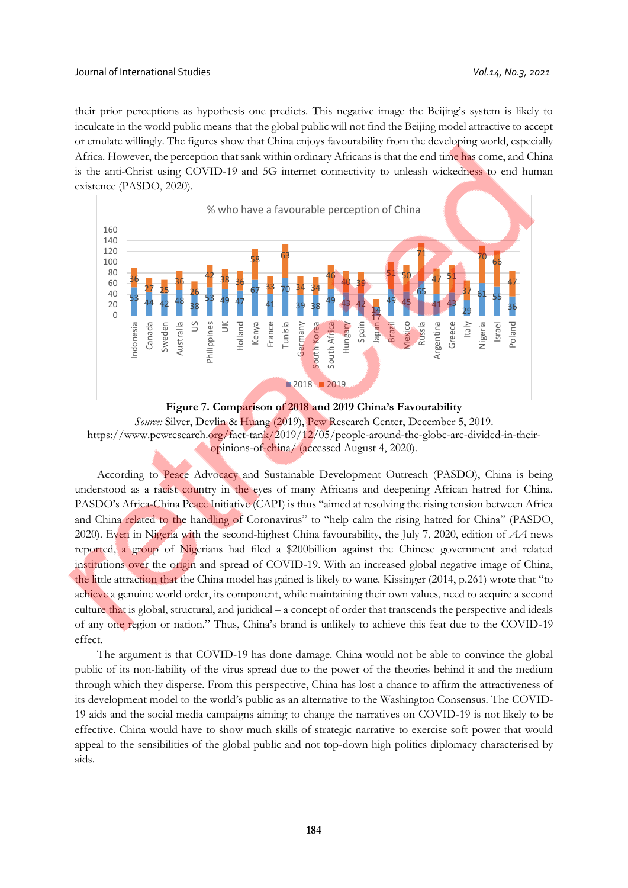their prior perceptions as hypothesis one predicts. This negative image the Beijing's system is likely to inculcate in the world public means that the global public will not find the Beijing model attractive to accept or emulate willingly. The figures show that China enjoys favourability from the developing world, especially Africa. However, the perception that sank within ordinary Africans is that the end time has come, and China is the anti-Christ using COVID-19 and 5G internet connectivity to unleash wickedness to end human existence (PASDO, 2020).



**Figure 7. Comparison of 2018 and 2019 China's Favourability** *Source:* Silver, [Devlin](https://www.pewresearch.org/staff/kat-devlin) & [Huang](https://www.pewresearch.org/staff/christine-huang) (2019), Pew Research Center, December 5, 2019. https://www.pewresearch.org/fact-tank/2019/12/05/people-around-the-globe-are-divided-in-theiropinions-of-china/ (accessed August 4, 2020).

According to Peace Advocacy and Sustainable Development Outreach (PASDO), China is being understood as a racist country in the eyes of many Africans and deepening African hatred for China. PASDO's Africa-China Peace Initiative (CAPI) is thus "aimed at resolving the rising tension between Africa and China related to the handling of Coronavirus" to "help calm the rising hatred for China" (PASDO, 2020). Even in Nigeria with the second-highest China favourability, the July 7, 2020, edition of *AA* news reported, a group of Nigerians had filed a \$200billion against the Chinese government and related institutions over the origin and spread of COVID-19. With an increased global negative image of China, the little attraction that the China model has gained is likely to wane. Kissinger (2014, p.261) wrote that "to achieve a genuine world order, its component, while maintaining their own values, need to acquire a second culture that is global, structural, and juridical – a concept of order that transcends the perspective and ideals of any one region or nation." Thus, China's brand is unlikely to achieve this feat due to the COVID-19 effect.

The argument is that COVID-19 has done damage. China would not be able to convince the global public of its non-liability of the virus spread due to the power of the theories behind it and the medium through which they disperse. From this perspective, China has lost a chance to affirm the attractiveness of its development model to the world's public as an alternative to the Washington Consensus. The COVID-19 aids and the social media campaigns aiming to change the narratives on COVID-19 is not likely to be effective. China would have to show much skills of strategic narrative to exercise soft power that would appeal to the sensibilities of the global public and not top-down high politics diplomacy characterised by aids.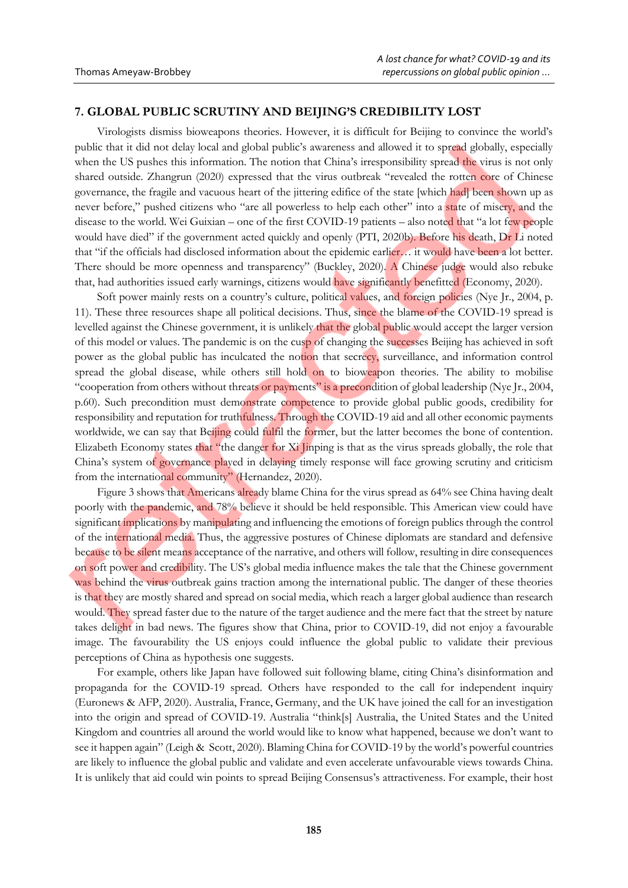## **7. GLOBAL PUBLIC SCRUTINY AND BEIJING'S CREDIBILITY LOST**

Virologists dismiss bioweapons theories. However, it is difficult for Beijing to convince the world's public that it did not delay local and global public's awareness and allowed it to spread globally, especially when the US pushes this information. The notion that China's irresponsibility spread the virus is not only shared outside. Zhangrun (2020) expressed that the virus outbreak "revealed the rotten core of Chinese governance, the fragile and vacuous heart of the jittering edifice of the state [which had] been shown up as never before," pushed citizens who "are all powerless to help each other" into a state of misery, and the disease to the world. Wei Guixian – one of the first COVID-19 patients – also noted that "a lot few people would have died" if the government acted quickly and openly (PTI, 2020b). Before his death, Dr Li noted that "if the officials had disclosed information about the epidemic earlier… it would have been a lot better. There should be more openness and transparency" (Buckley, 2020). A Chinese judge would also rebuke that, had authorities issued early warnings, citizens would have significantly benefitted (Economy, 2020).

Soft power mainly rests on a country's culture, political values, and foreign policies (Nye Jr., 2004, p. 11). These three resources shape all political decisions. Thus, since the blame of the COVID-19 spread is levelled against the Chinese government, it is unlikely that the global public would accept the larger version of this model or values. The pandemic is on the cusp of changing the successes Beijing has achieved in soft power as the global public has inculcated the notion that secrecy, surveillance, and information control spread the global disease, while others still hold on to bioweapon theories. The ability to mobilise "cooperation from others without threats or payments" is a precondition of global leadership (Nye Jr., 2004, p.60). Such precondition must demonstrate competence to provide global public goods, credibility for responsibility and reputation for truthfulness. Through the COVID-19 aid and all other economic payments worldwide, we can say that Beijing could fulfil the former, but the latter becomes the bone of contention. Elizabeth Economy states that "the danger for Xi Jinping is that as the virus spreads globally, the role that China's system of governance played in delaying timely response will face growing scrutiny and criticism from the international community" (Hernandez, 2020).

Figure 3 shows that Americans already blame China for the virus spread as 64% see China having dealt poorly with the pandemic, and 78% believe it should be held responsible. This American view could have significant implications by manipulating and influencing the emotions of foreign publics through the control of the international media. Thus, the aggressive postures of Chinese diplomats are standard and defensive because to be silent means acceptance of the narrative, and others will follow, resulting in dire consequences on soft power and credibility. The US's global media influence makes the tale that the Chinese government was behind the virus outbreak gains traction among the international public. The danger of these theories is that they are mostly shared and spread on social media, which reach a larger global audience than research would. They spread faster due to the nature of the target audience and the mere fact that the street by nature takes delight in bad news. The figures show that China, prior to COVID-19, did not enjoy a favourable image. The favourability the US enjoys could influence the global public to validate their previous perceptions of China as hypothesis one suggests.

For example, others like Japan have followed suit following blame, citing China's disinformation and propaganda for the COVID-19 spread. Others have responded to the call for independent inquiry (Euronews & AFP, 2020). Australia, France, Germany, and the UK have joined the call for an investigation into the origin and spread of COVID-19. Australia "think[s] Australia, the United States and the United Kingdom and countries all around the world would like to know what happened, because we don't want to see it happen again" (Leigh & Scott, 2020). Blaming China for COVID-19 by the world's powerful countries are likely to influence the global public and validate and even accelerate unfavourable views towards China. It is unlikely that aid could win points to spread Beijing Consensus's attractiveness. For example, their host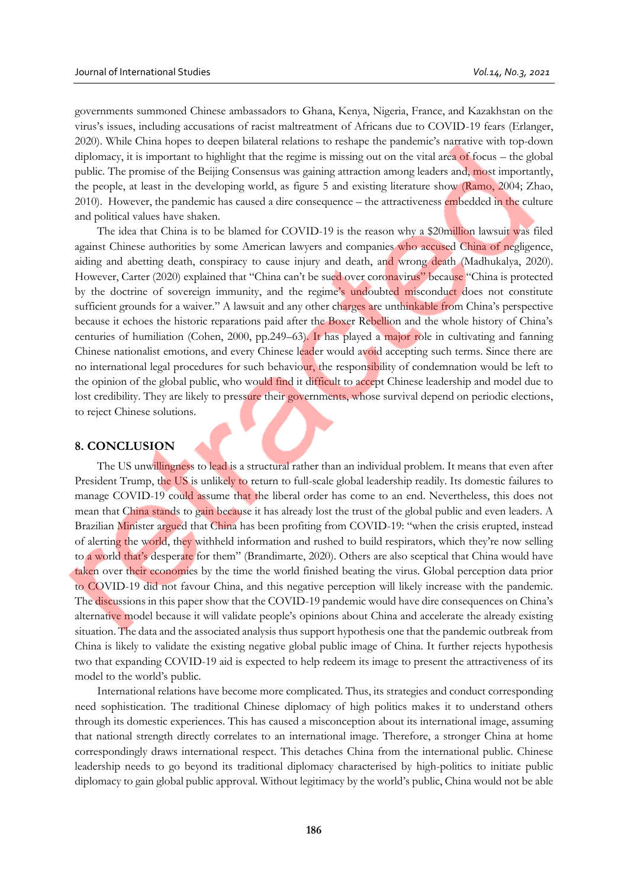governments summoned Chinese ambassadors to Ghana, Kenya, Nigeria, France, and Kazakhstan on the virus's issues, including accusations of racist maltreatment of Africans due to COVID-19 fears (Erlanger, 2020). While China hopes to deepen bilateral relations to reshape the pandemic's narrative with top-down diplomacy, it is important to highlight that the regime is missing out on the vital area of focus – the global public. The promise of the Beijing Consensus was gaining attraction among leaders and, most importantly, the people, at least in the developing world, as figure 5 and existing literature show (Ramo, 2004; Zhao, 2010). However, the pandemic has caused a dire consequence – the attractiveness embedded in the culture and political values have shaken.

The idea that China is to be blamed for COVID-19 is the reason why a \$20million lawsuit was filed against Chinese authorities by some American lawyers and companies who accused China of negligence, aiding and abetting death, conspiracy to cause injury and death, and wrong death (Madhukalya, 2020). However, Carter (2020) explained that "China can't be sued over coronavirus" because "China is protected by the doctrine of sovereign immunity, and the regime's undoubted misconduct does not constitute sufficient grounds for a waiver." A lawsuit and any other charges are unthinkable from China's perspective because it echoes the historic reparations paid after the Boxer Rebellion and the whole history of China's centuries of humiliation (Cohen, 2000, pp.249–63). It has played a major role in cultivating and fanning Chinese nationalist emotions, and every Chinese leader would avoid accepting such terms. Since there are no international legal procedures for such behaviour, the responsibility of condemnation would be left to the opinion of the global public, who would find it difficult to accept Chinese leadership and model due to lost credibility. They are likely to pressure their governments, whose survival depend on periodic elections, to reject Chinese solutions.

#### **8. CONCLUSION**

The US unwillingness to lead is a structural rather than an individual problem. It means that even after President Trump, the US is unlikely to return to full-scale global leadership readily. Its domestic failures to manage COVID-19 could assume that the liberal order has come to an end. Nevertheless, this does not mean that China stands to gain because it has already lost the trust of the global public and even leaders. A Brazilian Minister argued that China has been profiting from COVID-19: "when the crisis erupted, instead of alerting the world, they withheld information and rushed to build respirators, which they're now selling to a world that's desperate for them" (Brandimarte, 2020). Others are also sceptical that China would have taken over their economies by the time the world finished beating the virus. Global perception data prior to COVID-19 did not favour China, and this negative perception will likely increase with the pandemic. The discussions in this paper show that the COVID-19 pandemic would have dire consequences on China's alternative model because it will validate people's opinions about China and accelerate the already existing situation. The data and the associated analysis thus support hypothesis one that the pandemic outbreak from China is likely to validate the existing negative global public image of China. It further rejects hypothesis two that expanding COVID-19 aid is expected to help redeem its image to present the attractiveness of its model to the world's public.

International relations have become more complicated. Thus, its strategies and conduct corresponding need sophistication. The traditional Chinese diplomacy of high politics makes it to understand others through its domestic experiences. This has caused a misconception about its international image, assuming that national strength directly correlates to an international image. Therefore, a stronger China at home correspondingly draws international respect. This detaches China from the international public. Chinese leadership needs to go beyond its traditional diplomacy characterised by high-politics to initiate public diplomacy to gain global public approval. Without legitimacy by the world's public, China would not be able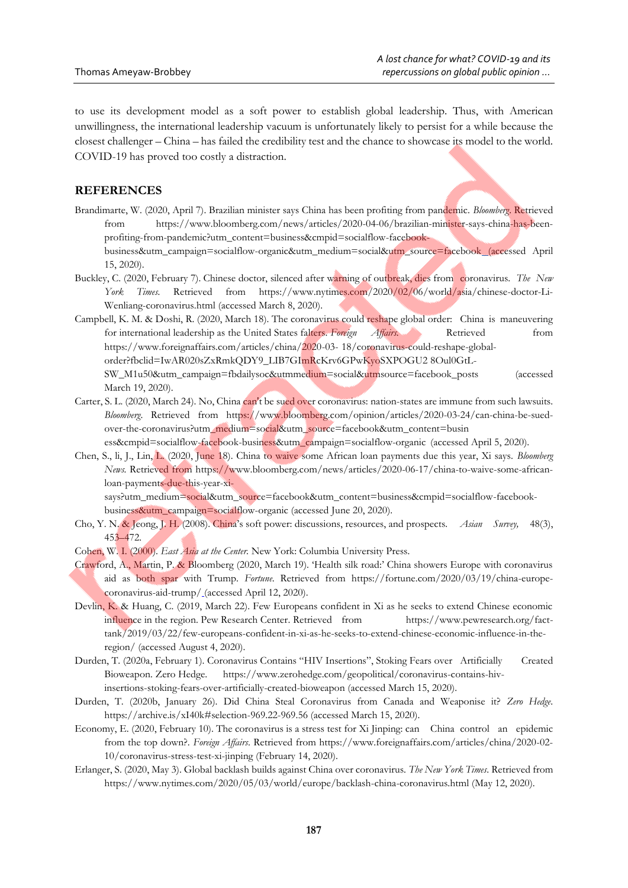to use its development model as a soft power to establish global leadership. Thus, with American unwillingness, the international leadership vacuum is unfortunately likely to persist for a while because the closest challenger – China – has failed the credibility test and the chance to showcase its model to the world. COVID-19 has proved too costly a distraction.

# **REFERENCES**

Brandimarte, W. (2020, April 7). Brazilian minister says China has been profiting from pandemic. *Bloomberg*. Retrieved from https://www.bloomberg.com/news/articles/2020-04-06/brazilian-minister-says-china-has-beenprofiting-from-pandemic?utm\_content=business&cmpid=socialflow-facebookbusiness&utm\_campaign=socialflow-organic&utm\_medium=social&utm\_source=facebook (accessed April

15, 2020).

- Buckley, C. (2020, February 7). Chinese doctor, silenced after warning of outbreak, dies from coronavirus. *The New York Times.* Retrieved from https://www.nytimes.com/2020/02/06/world/asia/chinese-doctor-Li-Wenliang-coronavirus.html (accessed March 8, 2020).
- Campbell, K. M. & Doshi, R. (2020, March 18). The coronavirus could reshape global order: China is maneuvering for international leadership as the United States falters. *Foreign Affairs*. Retrieved from https://www.foreignaffairs.com/articles/china/2020-03- 18/coronavirus-could-reshape-globalorder?fbclid=IwAR020sZxRmkQDY9\_LIB7GImRcKrv6GPwKyoSXPOGU2 8Oul0GtL-SW\_M1u50&utm\_campaign=fbdailysoc&utmmedium=social&utmsource=facebook\_posts (accessed March 19, 2020).
- Carter, S. L. (2020, March 24). No, China can't be sued over coronavirus: nation-states are immune from such lawsuits. *Bloomberg*. Retrieved from https://www.bloomberg.com/opinion/articles/2020-03-24/can-china-be-suedover-the-coronavirus?utm\_medium=social&utm\_source=facebook&utm\_content=busin ess&cmpid=socialflow-facebook-business&utm\_campaign=socialflow-organic (accessed April 5, 2020).
- Chen, S., li, J., Lin, L. (2020, June 18). China to waive some African loan payments due this year, Xi says. *Bloomberg News.* Retrieved from https://www.bloomberg.com/news/articles/2020-06-17/china-to-waive-some-africanloan-payments-due-this-year-xi-

says?utm\_medium=social&utm\_source=facebook&utm\_content=business&cmpid=socialflow-facebookbusiness&utm\_campaign=socialflow-organic (accessed June 20, 2020).

- Cho, Y. N. & Jeong, J. H. (2008). China's soft power: discussions, resources, and prospects. *Asian Survey,* 48(3), 453–472.
- Cohen, W. I. (2000). *East Asia at the Center.* New York: Columbia University Press.
- Crawford, A., Martin, P. & Bloomberg (2020, March 19). 'Health silk road:' China showers Europe with coronavirus aid as both spar with Trump. *Fortune*. Retrieved from https://fortune.com/2020/03/19/china-europecoronavirus-aid-trump/ (accessed April 12, 2020).
- [Devlin,](https://www.pewresearch.org/staff/kat-devlin) K. & [Huang,](https://www.pewresearch.org/staff/christine-huang) C. (2019, March 22). Few Europeans confident in Xi as he seeks to extend Chinese economic influence in the region. Pew Research Center. Retrieved from [https://www.pewresearch.org/fact](https://www.pewresearch.org/fact-tank/2019/03/22/few-europeans-confident-in-xi-as-he-seeks-to-extend-chinese-economic-influence-in-the-region/)[tank/2019/03/22/few-europeans-confident-in-xi-as-he-seeks-to-extend-chinese-economic-influence-in-the](https://www.pewresearch.org/fact-tank/2019/03/22/few-europeans-confident-in-xi-as-he-seeks-to-extend-chinese-economic-influence-in-the-region/)[region/](https://www.pewresearch.org/fact-tank/2019/03/22/few-europeans-confident-in-xi-as-he-seeks-to-extend-chinese-economic-influence-in-the-region/) (accessed August 4, 2020).
- Durden, T. (2020a, February 1). Coronavirus Contains "HIV Insertions", Stoking Fears over Artificially Created Bioweapon. Zero Hedge. [https://www.zerohedge.com/geopolitical/coronavirus-contains-hiv](https://www.zerohedge.com/geopolitical/coronavirus-contains-hiv-insertions-stoking-fears-over-artificially-created-bioweapon)[insertions-stoking-fears-over-artificially-created-bioweapon](https://www.zerohedge.com/geopolitical/coronavirus-contains-hiv-insertions-stoking-fears-over-artificially-created-bioweapon) (accessed March 15, 2020).
- Durden, T. (2020b, January 26). Did China Steal Coronavirus from Canada and Weaponise it? *Zero Hedge*. https://archive.is/xI40k#selection-969.22-969.56 (accessed March 15, 2020).
- Economy, E. (2020, February 10). The coronavirus is a stress test for Xi Jinping: can China control an epidemic from the top down?. *Foreign Affairs*. Retrieved from https://www.foreignaffairs.com/articles/china/2020-02- 10/coronavirus-stress-test-xi-jinping (February 14, 2020).
- Erlanger, S. (2020, May 3). Global backlash builds against China over coronavirus. *The New York Times*. Retrieved from https://www.nytimes.com/2020/05/03/world/europe/backlash-china-coronavirus.html (May 12, 2020).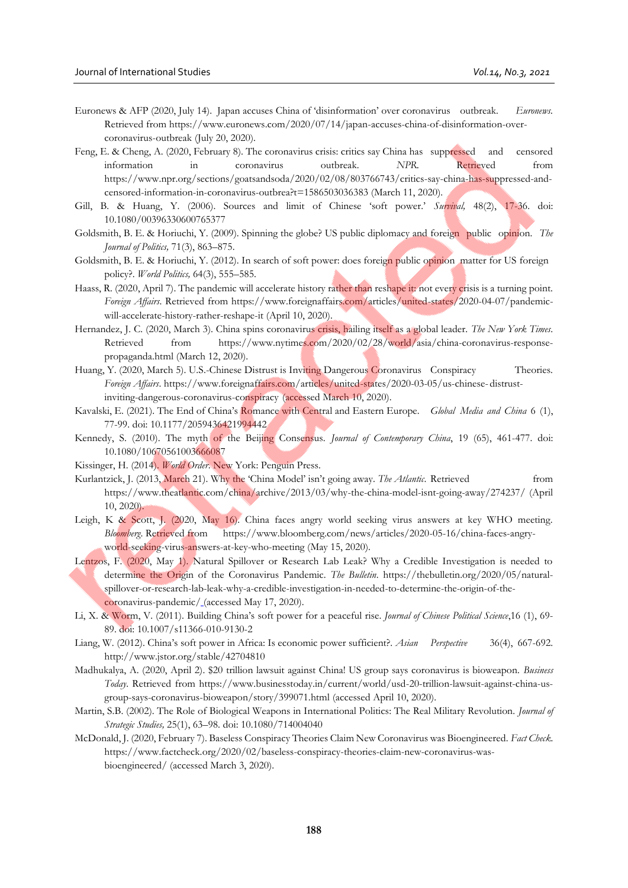- Euronews & AFP (2020, July 14). Japan accuses China of 'disinformation' over coronavirus outbreak. *Euronews.*  Retrieved from https://www.euronews.com/2020/07/14/japan-accuses-china-of-disinformation-overcoronavirus-outbreak (July 20, 2020).
- Feng, E. & Cheng, A. (2020, February 8). The coronavirus crisis: critics say China has suppressed and censored information in coronavirus outbreak. *NPR.* Retrieved from https://www.npr.org/sections/goatsandsoda/2020/02/08/803766743/critics-say-china-has-suppressed-andcensored-information-in-coronavirus-outbrea?t=1586503036383 (March 11, 2020).
- Gill, B. & Huang, Y. (2006). Sources and limit of Chinese 'soft power.' *Survival,* 48(2), 17-36. doi: 10.1080/00396330600765377
- Goldsmith, B. E. & Horiuchi, Y. (2009). Spinning the globe? US public diplomacy and foreign public opinion. *The Journal of Politics,* 71(3), 863–875.
- Goldsmith, B. E. & Horiuchi, Y. (2012). In search of soft power: does foreign public opinion matter for US foreign policy?. *World Politics,* 64(3), 555–585.
- Haass, R. (2020, April 7). The pandemic will accelerate history rather than reshape it: not every crisis is a turning point. *Foreign Affairs*. Retrieved from https://www.foreignaffairs.com/articles/united-states/2020-04-07/pandemicwill-accelerate-history-rather-reshape-it (April 10, 2020).
- Hernandez, J. C. (2020, March 3). China spins coronavirus crisis, hailing itself as a global leader. *The New York Times*. Retrieved from https://www.nytimes.com/2020/02/28/world/asia/china-coronavirus-responsepropaganda.html (March 12, 2020).
- Huang, Y. (2020, March 5). U.S.-Chinese Distrust is Inviting Dangerous Coronavirus Conspiracy Theories. *Foreign Affairs*. https://www.foreignaffairs.com/articles/united-states/2020-03-05/us-chinese-distrustinviting-dangerous-coronavirus-conspiracy (accessed March 10, 2020).
- Kavalski, E. (2021). The End of China's Romance with Central and Eastern Europe. *Global Media and China* 6 (1), 77-99. doi: 10.1177/2059436421994442
- Kennedy, S. (2010). The myth of the Beijing Consensus. *Journal of Contemporary China*, 19 (65), 461-477. doi: [10.1080/10670561003666087](https://doi.org/10.1080/10670561003666087)
- Kissinger, H. (2014). *World Order*. New York: Penguin Press.
- Kurlantzick, J. (2013, March 21). Why the 'China Model' isn't going away. *The Atlantic*. Retrieved from https://www.theatlantic.com/china/archive/2013/03/why-the-china-model-isnt-going-away/274237/ (April 10, 2020).
- Leigh, K & Scott, J. (2020, May 16). China faces angry world seeking virus answers at key WHO meeting. *Bloomberg*. Retrieved from https://www.bloomberg.com/news/articles/2020-05-16/china-faces-angryworld-seeking-virus-answers-at-key-who-meeting (May 15, 2020).
- Lentzos, F. (2020, May 1). Natural Spillover or Research Lab Leak? Why a Credible Investigation is needed to determine the Origin of the Coronavirus Pandemic. *The Bulletin*. https://thebulletin.org/2020/05/naturalspillover-or-research-lab-leak-why-a-credible-investigation-in-needed-to-determine-the-origin-of-thecoronavirus-pandemic/ (accessed May 17, 2020).
- Li, X. & Worm, V. (2011). Building China's soft power for a peaceful rise. *Journal of Chinese Political Science*,16 (1), 69- 89. doi: 10.1007/s11366-010-9130-2
- Liang, W. (2012). China's soft power in Africa: Is economic power sufficient?. *Asian Perspective* 36(4), 667-692. http://www.jstor.org/stable/42704810
- Madhukalya, A. (2020, April 2). \$20 trillion lawsuit against China! US group says coronavirus is bioweapon. *Business Today*. Retrieved from https://www.businesstoday.in/current/world/usd-20-trillion-lawsuit-against-china-usgroup-says-coronavirus-bioweapon/story/399071.html (accessed April 10, 2020).
- Martin, S.B. (2002). The Role of Biological Weapons in International Politics: The Real Military Revolution. *Journal of Strategic Studies,* 25(1), 63–98. doi[: 10.1080/714004040](https://doi.org/10.1080/714004040)
- McDonald, J. (2020, February 7). Baseless Conspiracy Theories Claim New Coronavirus was Bioengineered. *Fact Check.* https://www.factcheck.org/2020/02/baseless-conspiracy-theories-claim-new-coronavirus-wasbioengineered/ (accessed March 3, 2020).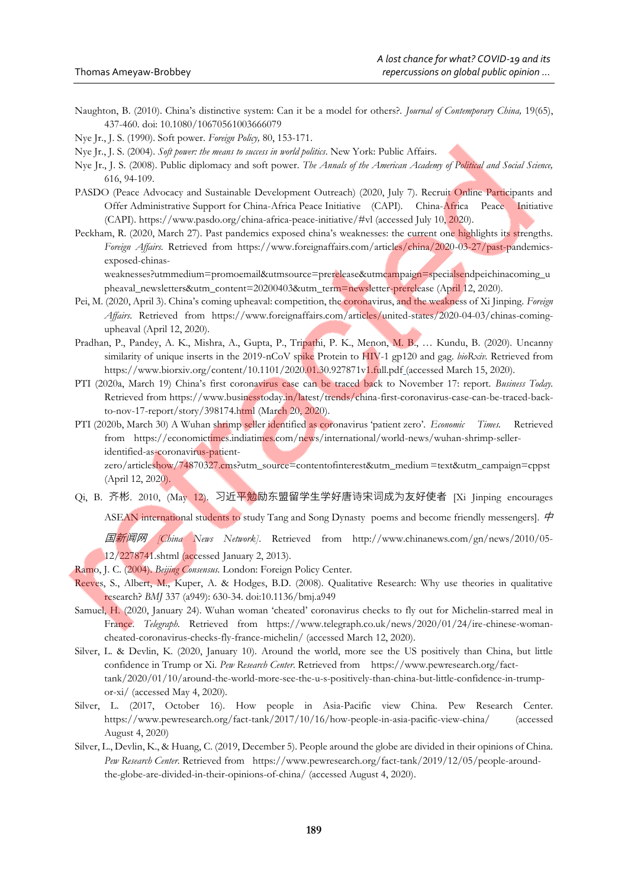Naughton, B. (2010). China's distinctive system: Can it be a model for others?. *Journal of Contemporary China,* 19(65), 437-460. doi: [10.1080/10670561003666079](https://doi.org/10.1080/10670561003666079)

Nye Jr., J. S. (1990). Soft power. *Foreign Policy,* 80, 153-171.

Nye Jr., J. S. (2004). *Soft power: the means to success in world politics*. New York: Public Affairs.

- Nye Jr., J. S. (2008). Public diplomacy and soft power. *The Annals of the American Academy of Political and Social Science,* 616, 94-109.
- PASDO (Peace Advocacy and Sustainable Development Outreach) (2020, July 7). Recruit Online Participants and Offer Administrative Support for China-Africa Peace Initiative (CAPI)*.* China-Africa Peace Initiative (CAPI). https://www.pasdo.org/china-africa-peace-initiative/#vl (accessed July 10, 2020).
- Peckham, R. (2020, March 27). Past pandemics exposed china's weaknesses: the current one highlights its strengths. *Foreign Affairs.* Retrieved from https://www.foreignaffairs.com/articles/china/2020-03-27/past-pandemicsexposed-chinas-

weaknesses?utmmedium=promoemail&utmsource=prerelease&utmcampaign=specialsendpeichinacoming\_u pheaval\_newsletters&utm\_content=20200403&utm\_term=newsletter-prerelease (April 12, 2020).

- Pei, M. (2020, April 3). China's coming upheaval: competition, the coronavirus, and the weakness of Xi Jinping. *Foreign Affairs*. Retrieved from https://www.foreignaffairs.com/articles/united-states/2020-04-03/chinas-comingupheaval (April 12, 2020).
- Pradhan, P., Pandey, A. K., Mishra, A., Gupta, P., Tripathi, P. K., Menon, M. B., … Kundu, B. (2020). Uncanny similarity of unique inserts in the 2019-nCoV spike Protein to HIV-1 gp120 and gag. *bioRxiv.* Retrieved from https://www.biorxiv.org/content/10.1101/2020.01.30.927871v1.full.pdf (accessed March 15, 2020).
- PTI (2020a, March 19) China's first coronavirus case can be traced back to November 17: report. *Business Today.* Retrieved from https://www.businesstoday.in/latest/trends/china-first-coronavirus-case-can-be-traced-backto-nov-17-report/story/398174.html (March 20, 2020).
- PTI (2020b, March 30) A Wuhan shrimp seller identified as coronavirus 'patient zero'. *Economic Times.* Retrieved from https://economictimes.indiatimes.com/news/international/world-news/wuhan-shrimp-selleridentified-as-coronavirus-patient-

zero/articleshow/74870327.cms?utm\_source=contentofinterest&utm\_medium =text&utm\_campaign=cppst (April 12, 2020).

Qi, B. 齐彬. 2010, (May 12). 习近平勉励东盟留学生学好唐诗宋词成为友好使者 [Xi Jinping encourages ASEAN international students to study Tang and Song Dynasty poems and become friendly messengers].  $\dot{\varphi}$ 

国新闻网 *[China News Network]*. Retrieved from http://www.chinanews.com/gn/news/2010/05- 12/2278741.shtml (accessed January 2, 2013).

- Ramo, J. C. (2004). *Beijing Consensus.* London: Foreign Policy Center.
- Reeves, S., Albert, M., Kuper, A. & Hodges, B.D. (2008). Qualitative Research: Why use theories in qualitative research? *BMJ* 337 (a949): 630-34. doi:10.1136/bmj.a949
- Samuel, H. (2020, January 24). Wuhan woman 'cheated' coronavirus checks to fly out for Michelin-starred meal in France. Telegraph. Retrieved from https://www.telegraph.co.uk/news/2020/01/24/ire-chinese-womancheated-coronavirus-checks-fly-france-michelin/ (accessed March 12, 2020).
- [Silver,](https://www.pewresearch.org/staff/laura-silver) L. & Devlin, K. (2020, January 10). Around the world, more see the US positively than China, but little confidence in Trump or Xi. *Pew Research Center*. Retrieved from https://www.pewresearch.org/facttank/2020/01/10/around-the-world-more-see-the-u-s-positively-than-china-but-little-confidence-in-trumpor-xi/ (accessed May 4, 2020).
- Silver, L. (2017, October 16). How people in Asia-Pacific view China. Pew Research Center. https://www.pewresearch.org/fact-tank/2017/10/16/how-people-in-asia-pacific-view-china/ (accessed August 4, 2020)
- [Silver,](https://www.pewresearch.org/staff/laura-silver) L., [Devlin,](https://www.pewresearch.org/staff/kat-devlin) K.[, & Huang,](https://www.pewresearch.org/staff/christine-huang) C. (2019, December 5). People around the globe are divided in their opinions of China. *Pew Research Center*. Retrieved from https://www.pewresearch.org/fact-tank/2019/12/05/people-aroundthe-globe-are-divided-in-their-opinions-of-china/ (accessed August 4, 2020).